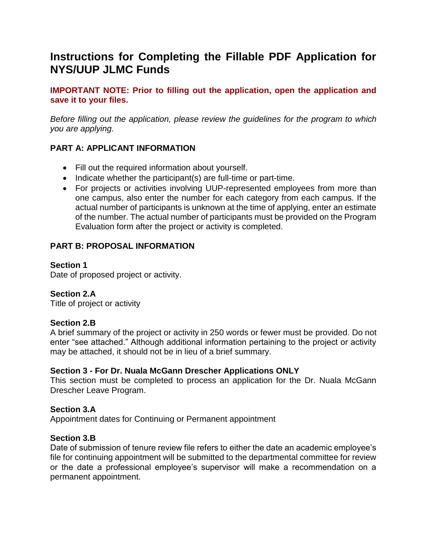# **Instructions for Completing the Fillable PDF Application for NYS/UUP JLMC Funds**

**IMPORTANT NOTE: Prior to filling out the application, open the application and save it to your files.**

*Before filling out the application, please review the guidelines for the program to which you are applying.*

# **PART A: APPLICANT INFORMATION**

- Fill out the required information about yourself.
- $\bullet$  Indicate whether the participant(s) are full-time or part-time.
- For projects or activities involving UUP-represented employees from more than one campus, also enter the number for each category from each campus. If the actual number of participants is unknown at the time of applying, enter an estimate of the number. The actual number of participants must be provided on the Program Evaluation form after the project or activity is completed.

# **PART B: PROPOSAL INFORMATION**

## **Section 1**

Date of proposed project or activity.

# **Section 2.A**

Title of project or activity

# **Section 2.B**

A brief summary of the project or activity in 250 words or fewer must be provided. Do not enter "see attached." Although additional information pertaining to the project or activity may be attached, it should not be in lieu of a brief summary.

# **Section 3 - For Dr. Nuala McGann Drescher Applications ONLY**

This section must be completed to process an application for the Dr. Nuala McGann Drescher Leave Program.

# **Section 3.A**

Appointment dates for Continuing or Permanent appointment

#### **Section 3.B**

Date of submission of tenure review file refers to either the date an academic employee's file for continuing appointment will be submitted to the departmental committee for review or the date a professional employee's supervisor will make a recommendation on a permanent appointment.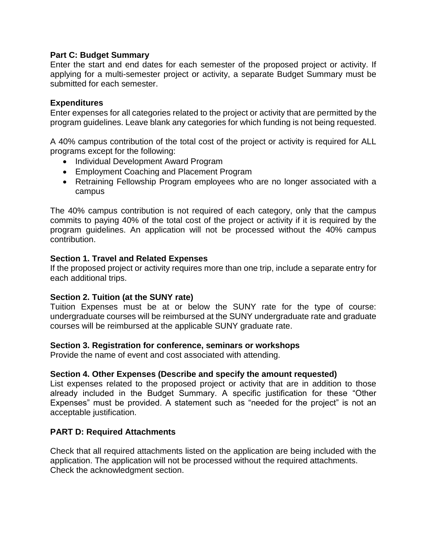#### **Part C: Budget Summary**

Enter the start and end dates for each semester of the proposed project or activity. If applying for a multi-semester project or activity, a separate Budget Summary must be submitted for each semester.

#### **Expenditures**

Enter expenses for all categories related to the project or activity that are permitted by the program guidelines. Leave blank any categories for which funding is not being requested.

A 40% campus contribution of the total cost of the project or activity is required for ALL programs except for the following:

- Individual Development Award Program
- Employment Coaching and Placement Program
- Retraining Fellowship Program employees who are no longer associated with a campus

The 40% campus contribution is not required of each category, only that the campus commits to paying 40% of the total cost of the project or activity if it is required by the program guidelines. An application will not be processed without the 40% campus contribution.

## **Section 1. Travel and Related Expenses**

If the proposed project or activity requires more than one trip, include a separate entry for each additional trips.

#### **Section 2. Tuition (at the SUNY rate)**

Tuition Expenses must be at or below the SUNY rate for the type of course: undergraduate courses will be reimbursed at the SUNY undergraduate rate and graduate courses will be reimbursed at the applicable SUNY graduate rate.

#### **Section 3. Registration for conference, seminars or workshops**

Provide the name of event and cost associated with attending.

#### **Section 4. Other Expenses (Describe and specify the amount requested)**

List expenses related to the proposed project or activity that are in addition to those already included in the Budget Summary. A specific justification for these "Other Expenses" must be provided. A statement such as "needed for the project" is not an acceptable justification.

#### **PART D: Required Attachments**

Check that all required attachments listed on the application are being included with the application. The application will not be processed without the required attachments. Check the acknowledgment section.